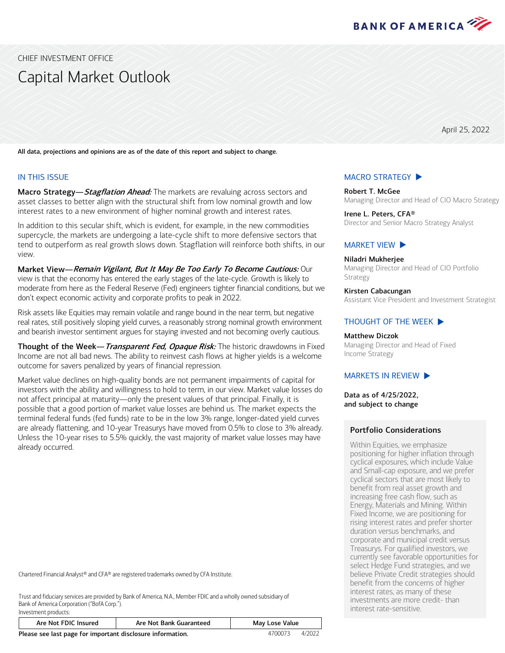

<span id="page-0-0"></span>CHIEF INVESTMENT OFFICE

# Capital Market Outlook

April 25, 2022

All data, projections and opinions are as of the date of this report and subject to change.

### IN THIS ISSUE

Macro Strategy— Stagflation Ahead: The markets are revaluing across sectors and asset classes to better align with the structural shift from low nominal growth and low interest rates to a new environment of higher nominal growth and interest rates.

In addition to this secular shift, which is evident, for example, in the new commodities supercycle, the markets are undergoing a late-cycle shift to more defensive sectors that tend to outperform as real growth slows down. Stagflation will reinforce both shifts, in our view.

Market View—Remain Vigilant, But It May Be Too Early To Become Cautious: Our view is that the economy has entered the early stages of the late-cycle. Growth is likely to moderate from here as the Federal Reserve (Fed) engineers tighter financial conditions, but we don't expect economic activity and corporate profits to peak in 2022.

Risk assets like Equities may remain volatile and range bound in the near term, but negative real rates, still positively sloping yield curves, a reasonably strong nominal growth environment and bearish investor sentiment argues for staying invested and not becoming overly cautious.

Thought of the Week-Transparent Fed, Opaque Risk: The historic drawdowns in Fixed Income are not all bad news. The ability to reinvest cash flows at higher yields is a welcome outcome for savers penalized by years of financial repression.

Market value declines on high-quality bonds are not permanent impairments of capital for investors with the ability and willingness to hold to term, in our view. Market value losses do not affect principal at maturity—only the present values of that principal. Finally, it is possible that a good portion of market value losses are behind us. The market expects the terminal federal funds (fed funds) rate to be in the low 3% range, longer-dated yield curves are already flattening, and 10-year Treasurys have moved from 0.5% to close to 3% already. Unless the 10-year rises to 5.5% quickly, the vast majority of market value losses may have already occurred.

Chartered Financial Analyst® and CFA® are registered trademarks owned by CFA Institute.

Investment products:

Trust and fiduciary services are provided by Bank of America, N.A., Member FDIC and a wholly owned subsidiary of Bank of America Corporation ("BofA Corp.").

| Are Not FDIC Insured                                       | Are Not Bank Guaranteed |         | May Lose Value |
|------------------------------------------------------------|-------------------------|---------|----------------|
| Please see last page for important disclosure information. |                         | 4700073 | 4/2022         |

# [MACRO STRATEGY](#page-1-0)  $\blacktriangleright$

Robert T. McGee Managing Director and Head of CIO Macro Strategy

Irene L. Peters, CFA® Director and Senior Macro Strategy Analyst

#### [MARKET VIEW](#page-3-0)  $\blacktriangleright$

#### Niladri Mukherjee

Managing Director and Head of CIO Portfolio Strategy

Kirsten Cabacungan

Assistant Vice President and Investment Strategist

### THOUGHT [OF THE WEEK](#page-5-0)  $\blacktriangleright$

### Matthew Diczok

Managing Director and Head of Fixed Income Strategy

### MARKETS [IN REVIEW](#page-6-0)  $\blacktriangleright$

Data as of 4/25/2022, and subject to change

### Portfolio Considerations

Within Equities, we emphasize positioning for higher inflation through cyclical exposures, which include Value and Small-cap exposure, and we prefer cyclical sectors that are most likely to benefit from real asset growth and increasing free cash flow, such as Energy, Materials and Mining. Within Fixed Income, we are positioning for rising interest rates and prefer shorter duration versus benchmarks, and corporate and municipal credit versus Treasurys. For qualified investors, we currently see favorable opportunities for select Hedge Fund strategies, and we believe Private Credit strategies should benefit from the concerns of higher interest rates, as many of these investments are more credit- than interest rate-sensitive.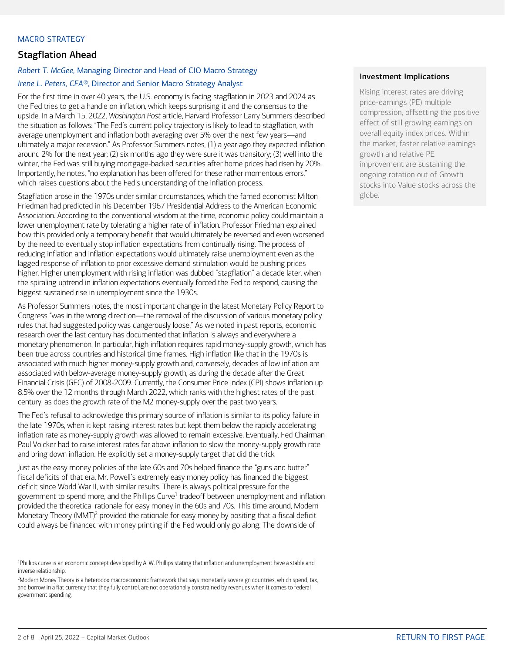### <span id="page-1-0"></span>MACRO STRATEGY

## Stagflation Ahead

### *Robert T. McGee,* Managing Director and Head of CIO Macro Strategy *Irene L. Peters, CFA®,* Director and Senior Macro Strategy Analyst

For the first time in over 40 years, the U.S. economy is facing stagflation in 2023 and 2024 as the Fed tries to get a handle on inflation, which keeps surprising it and the consensus to the upside. In a March 15, 2022, *Washington Post* article, Harvard Professor Larry Summers described the situation as follows: "The Fed's current policy trajectory is likely to lead to stagflation, with average unemployment and inflation both averaging over 5% over the next few years—and ultimately a major recession." As Professor Summers notes, (1) a year ago they expected inflation around 2% for the next year; (2) six months ago they were sure it was transitory; (3) well into the winter, the Fed was still buying mortgage-backed securities after home prices had risen by 20%. Importantly, he notes, "no explanation has been offered for these rather momentous errors," which raises questions about the Fed's understanding of the inflation process.

Stagflation arose in the 1970s under similar circumstances, which the famed economist Milton Friedman had predicted in his December 1967 Presidential Address to the American Economic Association. According to the conventional wisdom at the time, economic policy could maintain a lower unemployment rate by tolerating a higher rate of inflation. Professor Friedman explained how this provided only a temporary benefit that would ultimately be reversed and even worsened by the need to eventually stop inflation expectations from continually rising. The process of reducing inflation and inflation expectations would ultimately raise unemployment even as the lagged response of inflation to prior excessive demand stimulation would be pushing prices higher. Higher unemployment with rising inflation was dubbed "stagflation" a decade later, when the spiraling uptrend in inflation expectations eventually forced the Fed to respond, causing the biggest sustained rise in unemployment since the 1930s.

As Professor Summers notes, the most important change in the latest Monetary Policy Report to Congress "was in the wrong direction—the removal of the discussion of various monetary policy rules that had suggested policy was dangerously loose." As we noted in past reports, economic research over the last century has documented that inflation is always and everywhere a monetary phenomenon. In particular, high inflation requires rapid money-supply growth, which has been true across countries and historical time frames. High inflation like that in the 1970s is associated with much higher money-supply growth and, conversely, decades of low inflation are associated with below-average money-supply growth, as during the decade after the Great Financial Crisis (GFC) of 2008-2009. Currently, the Consumer Price Index (CPI) shows inflation up 8.5% over the 12 months through March 2022, which ranks with the highest rates of the past century, as does the growth rate of the M2 money-supply over the past two years.

The Fed's refusal to acknowledge this primary source of inflation is similar to its policy failure in the late 1970s, when it kept raising interest rates but kept them below the rapidly accelerating inflation rate as money-supply growth was allowed to remain excessive. Eventually, Fed Chairman Paul Volcker had to raise interest rates far above inflation to slow the money-supply growth rate and bring down inflation. He explicitly set a money-supply target that did the trick.

Just as the easy money policies of the late 60s and 70s helped finance the "guns and butter" fiscal deficits of that era, Mr. Powell's extremely easy money policy has financed the biggest deficit since World War II, with similar results. There is always political pressure for the government to spend more, and the Phillips Curve<sup>1</sup> tradeoff between unemployment and inflation provided the theoretical rationale for easy money in the 60s and 70s. This time around, Modern Monetary Theory (MMT)<sup>2</sup> provided the rationale for easy money by positing that a fiscal deficit could always be financed with money printing if the Fed would only go along. The downside of

### Investment Implications

Rising interest rates are driving price-earnings (PE) multiple compression, offsetting the positive effect of still growing earnings on overall equity index prices. Within the market, faster relative earnings growth and relative PE improvement are sustaining the ongoing rotation out of Growth stocks into Value stocks across the globe.

<sup>1</sup> Phillips curve is an economic concept developed by A. W. Phillips stating that inflation and unemployment have a stable and inverse relationship.

<sup>2</sup> Modern Money Theory is a heterodox macroeconomic framework that says monetarily sovereign countries, which spend, tax, and borrow in a fiat currency that they fully control, are not operationally constrained by revenues when it comes to federal government spending.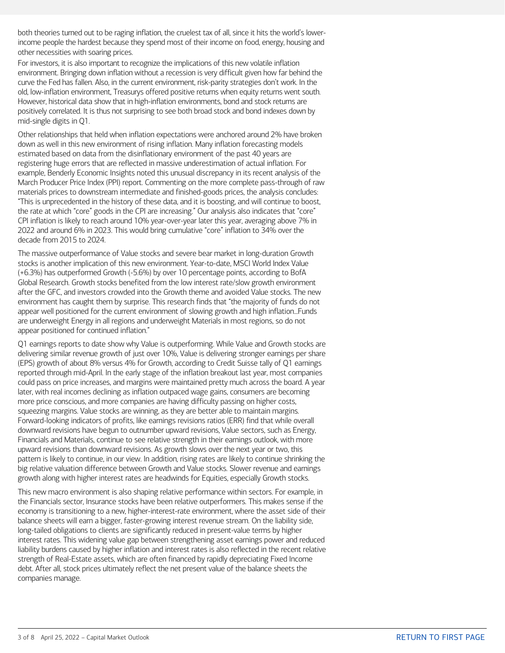both theories turned out to be raging inflation, the cruelest tax of all, since it hits the world's lowerincome people the hardest because they spend most of their income on food, energy, housing and other necessities with soaring prices.

For investors, it is also important to recognize the implications of this new volatile inflation environment. Bringing down inflation without a recession is very difficult given how far behind the curve the Fed has fallen. Also, in the current environment, risk-parity strategies don't work. In the old, low-inflation environment, Treasurys offered positive returns when equity returns went south. However, historical data show that in high-inflation environments, bond and stock returns are positively correlated. It is thus not surprising to see both broad stock and bond indexes down by mid-single digits in Q1.

Other relationships that held when inflation expectations were anchored around 2% have broken down as well in this new environment of rising inflation. Many inflation forecasting models estimated based on data from the disinflationary environment of the past 40 years are registering huge errors that are reflected in massive underestimation of actual inflation. For example, Benderly Economic Insights noted this unusual discrepancy in its recent analysis of the March Producer Price Index (PPI) report. Commenting on the more complete pass-through of raw materials prices to downstream intermediate and finished-goods prices, the analysis concludes: "This is unprecedented in the history of these data, and it is boosting, and will continue to boost, the rate at which "core" goods in the CPI are increasing." Our analysis also indicates that "core" CPI inflation is likely to reach around 10% year-over-year later this year, averaging above 7% in 2022 and around 6% in 2023. This would bring cumulative "core" inflation to 34% over the decade from 2015 to 2024.

The massive outperformance of Value stocks and severe bear market in long-duration Growth stocks is another implication of this new environment. Year-to-date, MSCI World Index Value (+6.3%) has outperformed Growth (-5.6%) by over 10 percentage points, according to BofA Global Research. Growth stocks benefited from the low interest rate/slow growth environment after the GFC, and investors crowded into the Growth theme and avoided Value stocks. The new environment has caught them by surprise. This research finds that "the majority of funds do not appear well positioned for the current environment of slowing growth and high inflation...Funds are underweight Energy in all regions and underweight Materials in most regions, so do not appear positioned for continued inflation."

Q1 earnings reports to date show why Value is outperforming. While Value and Growth stocks are delivering similar revenue growth of just over 10%, Value is delivering stronger earnings per share (EPS) growth of about 8% versus 4% for Growth, according to Credit Suisse tally of Q1 earnings reported through mid-April. In the early stage of the inflation breakout last year, most companies could pass on price increases, and margins were maintained pretty much across the board. A year later, with real incomes declining as inflation outpaced wage gains, consumers are becoming more price conscious, and more companies are having difficulty passing on higher costs, squeezing margins. Value stocks are winning, as they are better able to maintain margins. Forward-looking indicators of profits, like earnings revisions ratios (ERR) find that while overall downward revisions have begun to outnumber upward revisions, Value sectors, such as Energy, Financials and Materials, continue to see relative strength in their earnings outlook, with more upward revisions than downward revisions. As growth slows over the next year or two, this pattern is likely to continue, in our view. In addition, rising rates are likely to continue shrinking the big relative valuation difference between Growth and Value stocks. Slower revenue and earnings growth along with higher interest rates are headwinds for Equities, especially Growth stocks.

This new macro environment is also shaping relative performance within sectors. For example, in the Financials sector, Insurance stocks have been relative outperformers. This makes sense if the economy is transitioning to a new, higher-interest-rate environment, where the asset side of their balance sheets will earn a bigger, faster-growing interest revenue stream. On the liability side, long-tailed obligations to clients are significantly reduced in present-value terms by higher interest rates. This widening value gap between strengthening asset earnings power and reduced liability burdens caused by higher inflation and interest rates is also reflected in the recent relative strength of Real-Estate assets, which are often financed by rapidly depreciating Fixed Income debt. After all, stock prices ultimately reflect the net present value of the balance sheets the companies manage.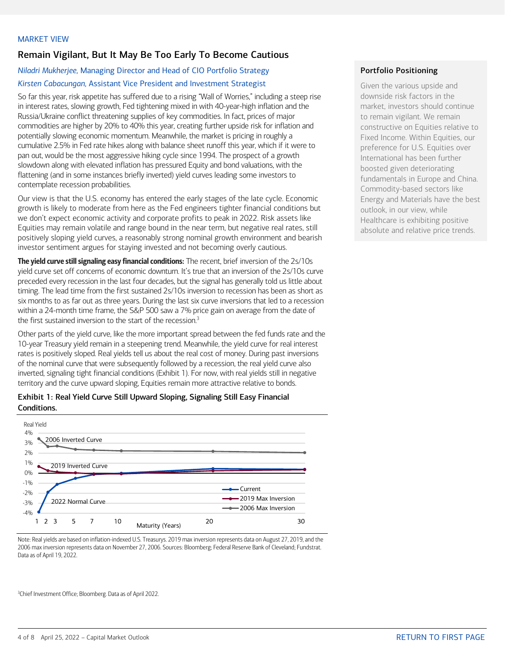# <span id="page-3-0"></span>Remain Vigilant, But It May Be Too Early To Become Cautious

# *Niladri Mukherjee,* Managing Director and Head of CIO Portfolio Strategy *Kirsten Cabacungan,* Assistant Vice President and Investment Strategist

So far this year, risk appetite has suffered due to a rising "Wall of Worries," including a steep rise in interest rates, slowing growth, Fed tightening mixed in with 40-year-high inflation and the Russia/Ukraine conflict threatening supplies of key commodities. In fact, prices of major commodities are higher by 20% to 40% this year, creating further upside risk for inflation and potentially slowing economic momentum. Meanwhile, the market is pricing in roughly a cumulative 2.5% in Fed rate hikes along with balance sheet runoff this year, which if it were to pan out, would be the most aggressive hiking cycle since 1994. The prospect of a growth slowdown along with elevated inflation has pressured Equity and bond valuations, with the flattening (and in some instances briefly inverted) yield curves leading some investors to contemplate recession probabilities.

Our view is that the U.S. economy has entered the early stages of the late cycle. Economic growth is likely to moderate from here as the Fed engineers tighter financial conditions but we don't expect economic activity and corporate profits to peak in 2022. Risk assets like Equities may remain volatile and range bound in the near term, but negative real rates, still positively sloping yield curves, a reasonably strong nominal growth environment and bearish investor sentiment argues for staying invested and not becoming overly cautious.

**The yield curve still signaling easy financial conditions:** The recent, brief inversion of the 2s/10s yield curve set off concerns of economic downturn. It's true that an inversion of the 2s/10s curve preceded every recession in the last four decades, but the signal has generally told us little about timing. The lead time from the first sustained 2s/10s inversion to recession has been as short as six months to as far out as three years. During the last six curve inversions that led to a recession within a 24-month time frame, the S&P 500 saw a 7% price gain on average from the date of the first sustained inversion to the start of the recession. $3$ 

Other parts of the yield curve, like the more important spread between the fed funds rate and the 10-year Treasury yield remain in a steepening trend. Meanwhile, the yield curve for real interest rates is positively sloped. Real yields tell us about the real cost of money. During past inversions of the nominal curve that were subsequently followed by a recession, the real yield curve also inverted, signaling tight financial conditions (Exhibit 1). For now, with real yields still in negative territory and the curve upward sloping, Equities remain more attractive relative to bonds.

### Exhibit 1: Real Yield Curve Still Upward Sloping, Signaling Still Easy Financial Conditions.



Note: Real yields are based on inflation-indexed U.S. Treasurys. 2019 max inversion represents data on August 27, 2019, and the 2006 max inversion represents data on November 27, 2006. Sources: Bloomberg; Federal Reserve Bank of Cleveland; Fundstrat. Data as of April 19, 2022.

3 Chief Investment Office; Bloomberg. Data as of April 2022.

# Portfolio Positioning

Given the various upside and downside risk factors in the market, investors should continue to remain vigilant. We remain constructive on Equities relative to Fixed Income. Within Equities, our preference for U.S. Equities over International has been further boosted given deteriorating fundamentals in Europe and China. Commodity-based sectors like Energy and Materials have the best outlook, in our view, while Healthcare is exhibiting positive absolute and relative price trends.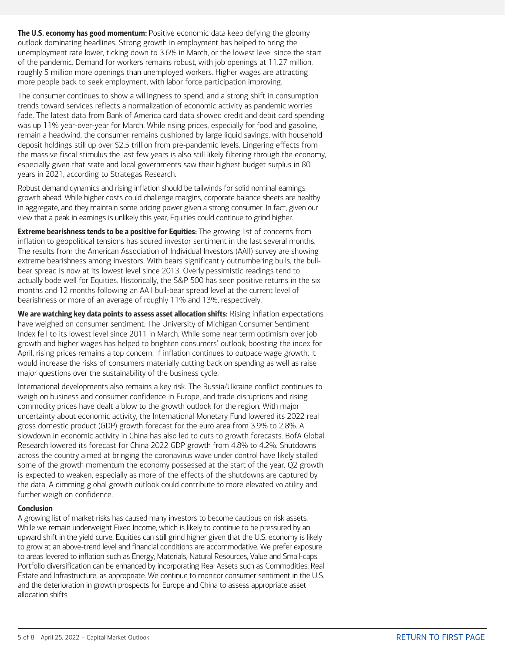The U.S. economy has good momentum: Positive economic data keep defying the gloomy outlook dominating headlines. Strong growth in employment has helped to bring the unemployment rate lower, ticking down to 3.6% in March, or the lowest level since the start of the pandemic. Demand for workers remains robust, with job openings at 11.27 million, roughly 5 million more openings than unemployed workers. Higher wages are attracting more people back to seek employment, with labor force participation improving.

The consumer continues to show a willingness to spend, and a strong shift in consumption trends toward services reflects a normalization of economic activity as pandemic worries fade. The latest data from Bank of America card data showed credit and debit card spending was up 11% year-over-year for March. While rising prices, especially for food and gasoline, remain a headwind, the consumer remains cushioned by large liquid savings, with household deposit holdings still up over \$2.5 trillion from pre-pandemic levels. Lingering effects from the massive fiscal stimulus the last few years is also still likely filtering through the economy, especially given that state and local governments saw their highest budget surplus in 80 years in 2021, according to Strategas Research.

Robust demand dynamics and rising inflation should be tailwinds for solid nominal earnings growth ahead. While higher costs could challenge margins, corporate balance sheets are healthy in aggregate, and they maintain some pricing power given a strong consumer. In fact, given our view that a peak in earnings is unlikely this year, Equities could continue to grind higher.

Extreme bearishness tends to be a positive for Equities: The growing list of concerns from inflation to geopolitical tensions has soured investor sentiment in the last several months. The results from the American Association of Individual Investors (AAII) survey are showing extreme bearishness among investors. With bears significantly outnumbering bulls, the bullbear spread is now at its lowest level since 2013. Overly pessimistic readings tend to actually bode well for Equities. Historically, the S&P 500 has seen positive returns in the six months and 12 months following an AAII bull-bear spread level at the current level of bearishness or more of an average of roughly 11% and 13%, respectively.

We are watching key data points to assess asset allocation shifts: Rising inflation expectations have weighed on consumer sentiment. The University of Michigan Consumer Sentiment Index fell to its lowest level since 2011 in March. While some near term optimism over job growth and higher wages has helped to brighten consumers' outlook, boosting the index for April, rising prices remains a top concern. If inflation continues to outpace wage growth, it would increase the risks of consumers materially cutting back on spending as well as raise major questions over the sustainability of the business cycle.

International developments also remains a key risk. The Russia/Ukraine conflict continues to weigh on business and consumer confidence in Europe, and trade disruptions and rising commodity prices have dealt a blow to the growth outlook for the region. With major uncertainty about economic activity, the International Monetary Fund lowered its 2022 real gross domestic product (GDP) growth forecast for the euro area from 3.9% to 2.8%. A slowdown in economic activity in China has also led to cuts to growth forecasts. BofA Global Research lowered its forecast for China 2022 GDP growth from 4.8% to 4.2%. Shutdowns across the country aimed at bringing the coronavirus wave under control have likely stalled some of the growth momentum the economy possessed at the start of the year. Q2 growth is expected to weaken, especially as more of the effects of the shutdowns are captured by the data. A dimming global growth outlook could contribute to more elevated volatility and further weigh on confidence.

### Conclusion

A growing list of market risks has caused many investors to become cautious on risk assets. While we remain underweight Fixed Income, which is likely to continue to be pressured by an upward shift in the yield curve, Equities can still grind higher given that the U.S. economy is likely to grow at an above-trend level and financial conditions are accommodative. We prefer exposure to areas levered to inflation such as Energy, Materials, Natural Resources, Value and Small-caps. Portfolio diversification can be enhanced by incorporating Real Assets such as Commodities, Real Estate and Infrastructure, as appropriate. We continue to monitor consumer sentiment in the U.S. and the deterioration in growth prospects for Europe and China to assess appropriate asset allocation shifts.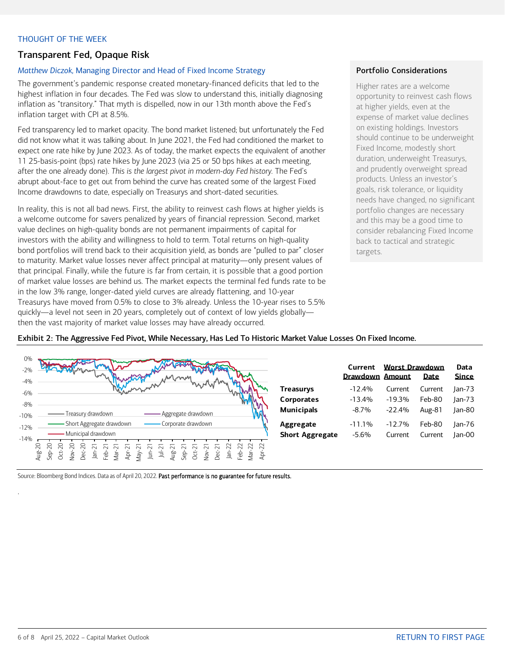### <span id="page-5-0"></span>THOUGHT OF THE WEEK

### Transparent Fed, Opaque Risk

### *Matthew Diczok,* Managing Director and Head of Fixed Income Strategy

The government's pandemic response created monetary-financed deficits that led to the highest inflation in four decades. The Fed was slow to understand this, initially diagnosing inflation as "transitory." That myth is dispelled, now in our 13th month above the Fed's inflation target with CPI at 8.5%.

Fed transparency led to market opacity. The bond market listened; but unfortunately the Fed did not know what it was talking about. In June 2021, the Fed had conditioned the market to expect one rate hike by June 2023. As of today, the market expects the equivalent of another 11 25-basis-point (bps) rate hikes by June 2023 (via 25 or 50 bps hikes at each meeting, after the one already done). *This is the largest pivot in modern-day Fed history.* The Fed's abrupt about-face to get out from behind the curve has created some of the largest Fixed Income drawdowns to date, especially on Treasurys and short-dated securities.

In reality, this is not all bad news. First, the ability to reinvest cash flows at higher yields is a welcome outcome for savers penalized by years of financial repression. Second, market value declines on high-quality bonds are not permanent impairments of capital for investors with the ability and willingness to hold to term. Total returns on high-quality bond portfolios will trend back to their acquisition yield, as bonds are "pulled to par" closer to maturity. Market value losses never affect principal at maturity—only present values of that principal. Finally, while the future is far from certain, it is possible that a good portion of market value losses are behind us. The market expects the terminal fed funds rate to be in the low 3% range, longer-dated yield curves are already flattening, and 10-year Treasurys have moved from 0.5% to close to 3% already. Unless the 10-year rises to 5.5% quickly—a level not seen in 20 years, completely out of context of low yields globally then the vast majority of market value losses may have already occurred.

### Portfolio Considerations

Higher rates are a welcome opportunity to reinvest cash flows at higher yields, even at the expense of market value declines on existing holdings. Investors should continue to be underweight Fixed Income, modestly short duration, underweight Treasurys, and prudently overweight spread products. Unless an investor's goals, risk tolerance, or liquidity needs have changed, no significant portfolio changes are necessary and this may be a good time to consider rebalancing Fixed Income back to tactical and strategic targets.



### Exhibit 2: The Aggressive Fed Pivot, While Necessary, Has Led To Historic Market Value Losses On Fixed Income.

|                                     | Current             | <b>Worst Drawdown</b><br><b>Drawdown Amount</b><br>Date |                   |                  |  |
|-------------------------------------|---------------------|---------------------------------------------------------|-------------------|------------------|--|
| <b>Treasurys</b>                    | $-12.4%$            | Current                                                 | Current           | Jan-73           |  |
| <b>Corporates</b>                   | $-13.4%$            | $-19.3%$                                                | Feb-80            | $lan-73$         |  |
| <b>Municipals</b>                   | $-8.7\%$            | $-22.4%$                                                | Aug-81            | Jan-80           |  |
| Aggregate<br><b>Short Aggregate</b> | $-11.1%$<br>$-5.6%$ | $-12.7%$<br>Current                                     | Feb-80<br>Current | Jan-76<br>Jan-00 |  |

Source: Bloomberg Bond Indices. Data as of April 20, 2022. Past performance is no guarantee for future results.

.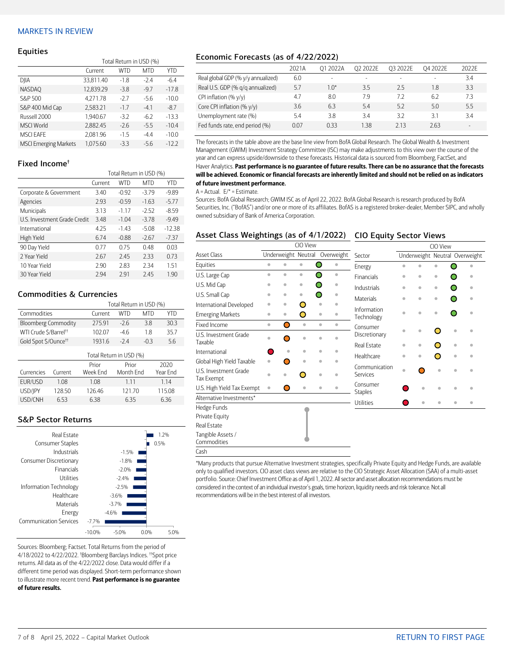### <span id="page-6-0"></span>MARKETS IN REVIEW

#### Equities

|                              | Total Return in USD (%) |        |            |         |  |  |  |
|------------------------------|-------------------------|--------|------------|---------|--|--|--|
|                              | Current                 | WTD    | <b>MTD</b> | YTD     |  |  |  |
| DJIA                         | 33,811.40               | $-1.8$ | $-2.4$     | $-6.4$  |  |  |  |
| <b>NASDAO</b>                | 12.839.29               | $-3.8$ | $-9.7$     | $-17.8$ |  |  |  |
| S&P 500                      | 4.271.78                | $-2.7$ | $-5.6$     | $-10.0$ |  |  |  |
| S&P 400 Mid Cap              | 2,583.21                | $-1.7$ | $-4.1$     | $-8.7$  |  |  |  |
| Russell 2000                 | 1.940.67                | $-3.2$ | $-6.2$     | $-13.3$ |  |  |  |
| <b>MSCI World</b>            | 2.882.45                | $-2.6$ | $-5.5$     | $-10.4$ |  |  |  |
| <b>MSCI EAFE</b>             | 2,081.96                | $-1.5$ | $-4.4$     | $-10.0$ |  |  |  |
| <b>MSCI Emerging Markets</b> | 1.075.60                | $-3.3$ | $-5.6$     | $-12.2$ |  |  |  |

### Fixed Income†

|                              | Total Return in USD (%) |         |            |          |  |  |
|------------------------------|-------------------------|---------|------------|----------|--|--|
|                              | Current                 | WTD     | <b>MTD</b> | YTD      |  |  |
| Corporate & Government       | 3.40                    | $-0.92$ | $-3.79$    | $-9.89$  |  |  |
| Agencies                     | 2.93                    | $-0.59$ | $-1.63$    | $-5.77$  |  |  |
| Municipals                   | 3.13                    | $-1.17$ | $-2.52$    | $-8.59$  |  |  |
| U.S. Investment Grade Credit | 3.48                    | $-1.04$ | $-3.78$    | $-9.49$  |  |  |
| International                | 4.25                    | $-1.43$ | $-5.08$    | $-12.38$ |  |  |
| High Yield                   | 6.74                    | $-0.88$ | $-2.67$    | $-7.37$  |  |  |
| 90 Day Yield                 | 0.77                    | 0.75    | 0.48       | 0.03     |  |  |
| 2 Year Yield                 | 2.67                    | 2.45    | 2.33       | 0.73     |  |  |
| 10 Year Yield                | 2.90                    | 2.83    | 2.34       | 1.51     |  |  |
| 30 Year Yield                | 2.94                    | 291     | 2.45       | 1.90     |  |  |

### Commodities & Currencies

|                                   | Total Return in USD (%) |       |       |      |  |  |  |
|-----------------------------------|-------------------------|-------|-------|------|--|--|--|
| Commodities                       | Current                 | WTD   | MTD   | YTD  |  |  |  |
| <b>Bloomberg Commodity</b>        | 27591                   | $-26$ | 38    | 30.3 |  |  |  |
| WTI Crude \$/Barrel <sup>++</sup> | 10207                   | -46   | 18    | 357  |  |  |  |
| Gold Spot \$/Ounce <sup>tt</sup>  | 1931.6                  | $-24$ | $-03$ | 56   |  |  |  |
| Total Return in USD (%)           |                         |       |       |      |  |  |  |

| Currencies | Current | Prior<br>Week Fnd | Prior<br>Month Fnd | 2020<br>Year Fnd |
|------------|---------|-------------------|--------------------|------------------|
| FUR/USD    | 1.08    | 1.08              | 1 1 1              | 1 1 4            |
| USD/IPY    | 128.50  | 126.46            | 121.70             | 11508            |
| USD/CNH    | 653     | 638               | 635                | 636              |

### S&P Sector Returns

| Real Estate                   |         |         |      | 1.2% |
|-------------------------------|---------|---------|------|------|
| <b>Consumer Staples</b>       |         |         |      | 0.5% |
| Industrials                   |         | $-1.5%$ |      |      |
| Consumer Discretionary        |         | $-1.8%$ |      |      |
| <b>Financials</b>             |         | $-2.0%$ |      |      |
| Utilities                     |         | $-2.4%$ |      |      |
| Information Technology        |         | $-2.5%$ |      |      |
| Healthcare                    |         | $-3.6%$ |      |      |
| <b>Materials</b>              |         | $-3.7%$ |      |      |
| Energy                        |         | $-4.6%$ |      |      |
| <b>Communication Services</b> | $-7.7%$ |         |      |      |
|                               | -10.0%  | $-5.0%$ | 0.0% | 5.0% |

Sources: Bloomberg; Factset. Total Returns from the period of 4/18/2022 to 4/22/2022. † Bloomberg Barclays Indices. ††Spot price returns. All data as of the 4/22/2022 close. Data would differ if a different time period was displayed. Short-term performance shown to illustrate more recent trend. Past performance is no guarantee of future results.

### Economic Forecasts (as of 4/22/2022)

|                                    | 2021A | 01 2022A | 02 2022F | 03 2022E                 | 04 2022E                 | 2022F  |
|------------------------------------|-------|----------|----------|--------------------------|--------------------------|--------|
| Real global GDP (% y/y annualized) | 6.0   | ۰        |          | $\overline{\phantom{0}}$ | $\overline{\phantom{a}}$ | 3.4    |
| Real U.S. GDP (% g/g annualized)   | 5.7   | $1.0*$   | 3.5      | 25                       | 1.8                      | 3.3    |
| CPI inflation $(\% \gamma/\gamma)$ | 4.7   | 8.0      | 7.9      | 72                       | 6.2                      | 73     |
| Core CPI inflation (% y/y)         | 3.6   | 6.3      | 5.4      | 5.2                      | 5.0                      | 5.5    |
| Unemployment rate (%)              | 5.4   | 3.8      | 3.4      | 3.2                      | 3.1                      | 3.4    |
| Fed funds rate, end period (%)     | 0.07  | 0.33     | 1.38     | 213                      | 2.63                     | $\sim$ |

The forecasts in the table above are the base line view from BofA Global Research. The Global Wealth & Investment Management (GWIM) Investment Strategy Committee (ISC) may make adjustments to this view over the course of the year and can express upside/downside to these forecasts. Historical data is sourced from Bloomberg, FactSet, and Haver Analytics. Past performance is no guarantee of future results. There can be no assurance that the forecasts will be achieved. Economic or financial forecasts are inherently limited and should not be relied on as indicators of future investment performance.

#### $A =$  Actual.  $E/* =$  Estimate.

Sources: BofA Global Research; GWIM ISC as of April 22, 2022. BofA Global Research is research produced by BofA Securities, Inc. ("BofAS") and/or one or more of its affiliates. BofAS is a registered broker-dealer, Member SIPC, and wholly owned subsidiary of Bank of America Corporation.

### Asset Class Weightings (as of 4/1/2022) CIO Equity Sector Views

|                                     | CIO View  |           |                     |                        |  | CIO View                   |              |           |                                |           |           |
|-------------------------------------|-----------|-----------|---------------------|------------------------|--|----------------------------|--------------|-----------|--------------------------------|-----------|-----------|
| <b>Asset Class</b>                  |           |           | Underweight Neutral | Overweight             |  | Sector                     |              |           | Underweight Neutral Overweight |           |           |
| Equities                            | $\bullet$ | $\bullet$ | $\bullet$           | Ω<br>$\bullet$         |  | Energy                     | $\triangleq$ |           |                                |           |           |
| U.S. Large Cap                      | $\bullet$ | $\bullet$ | $\bullet$           | ∩<br>$\bullet$         |  | <b>Financials</b>          | $\bullet$    | ö         | ۰                              |           | ۰         |
| U.S. Mid Cap                        | ۰         | ۰         | ۰                   | Ω<br>۰                 |  | Industrials                | $\bullet$    | $\bullet$ | $\bullet$                      |           | $\bullet$ |
| U.S. Small Cap                      | ۰         | ۰         | ۰                   | ∩                      |  | <b>Materials</b>           | $\bullet$    | ö         | ۰                              |           |           |
| International Developed             | ö         | ۰         | ◯                   | $\bullet$              |  |                            |              |           |                                |           |           |
| <b>Emerging Markets</b>             | $\bullet$ | $\bullet$ | O                   | $\bullet$              |  | Information<br>Technology  | $\triangleq$ | ó         | ۰                              |           |           |
| Fixed Income                        | $\bullet$ | Ο         | $\bullet$           | $\bullet$<br>$\bullet$ |  | Consumer                   |              |           |                                |           |           |
| U.S. Investment Grade<br>Taxable    | ö         | ∩         | ö                   | é                      |  | Discretionary              | $\triangleq$ | ۰         | Ω                              | $\bullet$ |           |
| International                       |           | ٠         | ۰                   | ä<br>۰                 |  | <b>Real Estate</b>         | ۰            | ۰         |                                | ö         |           |
| Global High Yield Taxable           | $\bullet$ |           | ۰                   | $\bullet$              |  | Healthcare                 | $\bullet$    | ó         | O                              | ö         |           |
| U.S. Investment Grade<br>Tax Exempt |           |           |                     | ó                      |  | Communication<br>Services  | $\bullet$    |           | ó                              | ۵         |           |
| U.S. High Yield Tax Exempt          | $\bullet$ | O         | $\bullet$           | $\bullet$<br>٠         |  | Consumer<br><b>Staples</b> |              | ä         | ä                              | ۵         |           |
| Alternative Investments*            |           |           |                     |                        |  |                            |              |           |                                |           |           |
| Hedge Funds                         |           |           |                     |                        |  | <b>Utilities</b>           |              |           |                                |           |           |
| Private Equity                      |           |           |                     |                        |  |                            |              |           |                                |           |           |
| Real Estate                         |           |           |                     |                        |  |                            |              |           |                                |           |           |
| Tangible Assets /<br>Commodities    |           |           |                     |                        |  |                            |              |           |                                |           |           |
| Cash                                |           |           |                     |                        |  |                            |              |           |                                |           |           |

\*Many products that pursue Alternative Investment strategies, specifically Private Equity and Hedge Funds, are available only to qualified investors. CIO asset class views are relative to the CIO Strategic Asset Allocation (SAA) of a multi-asset portfolio. Source: Chief Investment Office as of April 1, 2022. All sector and asset allocation recommendations must be considered in the context of an individual investor's goals, time horizon, liquidity needs and risk tolerance. Not all recommendations will be in the best interest of all investors.